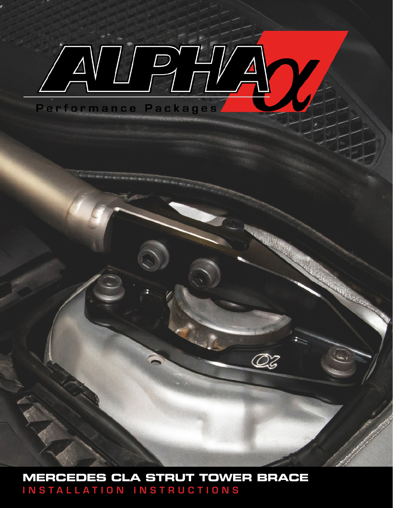## $\Box$ Performance Packages

**MERCEDES CLA STRUT TOWER BRACE** INSTALLATION INSTRUCTIONS

 $\ddot{\phantom{0}}$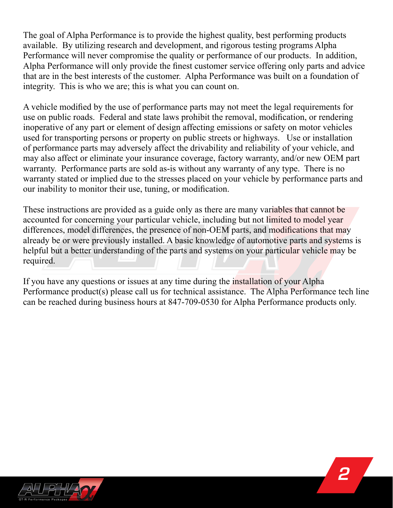The goal of Alpha Performance is to provide the highest quality, best performing products available. By utilizing research and development, and rigorous testing programs Alpha Performance will never compromise the quality or performance of our products. In addition, Alpha Performance will only provide the finest customer service offering only parts and advice that are in the best interests of the customer. Alpha Performance was built on a foundation of integrity. This is who we are; this is what you can count on.

A vehicle modified by the use of performance parts may not meet the legal requirements for use on public roads. Federal and state laws prohibit the removal, modification, or rendering inoperative of any part or element of design affecting emissions or safety on motor vehicles used for transporting persons or property on public streets or highways. Use or installation of performance parts may adversely affect the drivability and reliability of your vehicle, and may also affect or eliminate your insurance coverage, factory warranty, and/or new OEM part warranty. Performance parts are sold as-is without any warranty of any type. There is no warranty stated or implied due to the stresses placed on your vehicle by performance parts and our inability to monitor their use, tuning, or modification.

These instructions are provided as a guide only as there are many variables that cannot be accounted for concerning your particular vehicle, including but not limited to model year differences, model differences, the presence of non-OEM parts, and modifications that may already be or were previously installed. A basic knowledge of automotive parts and systems is helpful but a better understanding of the parts and systems on your particular vehicle may be required.

If you have any questions or issues at any time during the installation of your Alpha Performance product(s) please call us for technical assistance. The Alpha Performance tech line can be reached during business hours at 847-709-0530 for Alpha Performance products only.

*2*